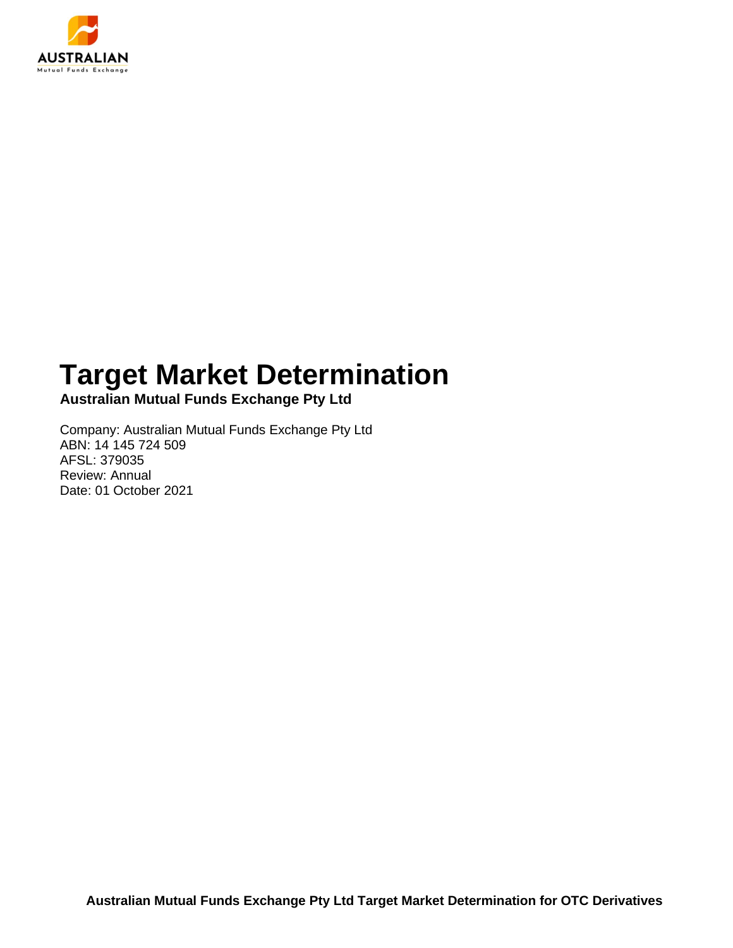

## **Target Market Determination**

**Australian Mutual Funds Exchange Pty Ltd**

Company: Australian Mutual Funds Exchange Pty Ltd ABN: 14 145 724 509 AFSL: 379035 Review: Annual Date: 01 October 2021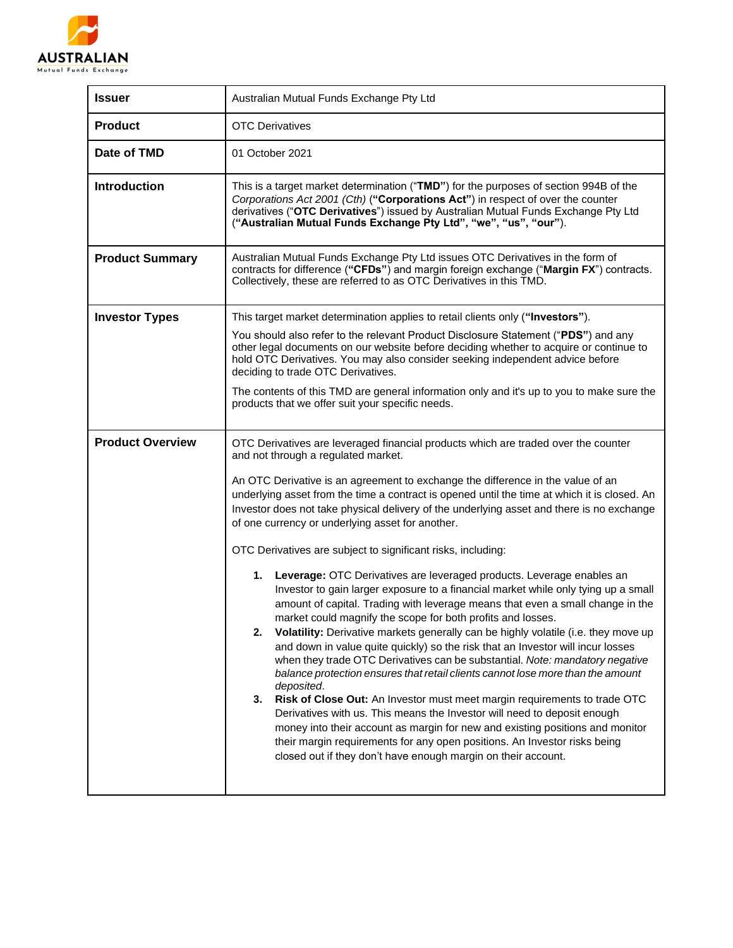

| <b>Issuer</b>           | Australian Mutual Funds Exchange Pty Ltd                                                                                                                                                                                                                                                                                                                                                                                                                                                                                                                                                                                                                                                                                                                                                                                                                                                                                                                                                                                                                                      |  |  |
|-------------------------|-------------------------------------------------------------------------------------------------------------------------------------------------------------------------------------------------------------------------------------------------------------------------------------------------------------------------------------------------------------------------------------------------------------------------------------------------------------------------------------------------------------------------------------------------------------------------------------------------------------------------------------------------------------------------------------------------------------------------------------------------------------------------------------------------------------------------------------------------------------------------------------------------------------------------------------------------------------------------------------------------------------------------------------------------------------------------------|--|--|
| <b>Product</b>          | <b>OTC Derivatives</b>                                                                                                                                                                                                                                                                                                                                                                                                                                                                                                                                                                                                                                                                                                                                                                                                                                                                                                                                                                                                                                                        |  |  |
| Date of TMD             | 01 October 2021                                                                                                                                                                                                                                                                                                                                                                                                                                                                                                                                                                                                                                                                                                                                                                                                                                                                                                                                                                                                                                                               |  |  |
| <b>Introduction</b>     | This is a target market determination ("TMD") for the purposes of section 994B of the<br>Corporations Act 2001 (Cth) ("Corporations Act") in respect of over the counter<br>derivatives ("OTC Derivatives") issued by Australian Mutual Funds Exchange Pty Ltd<br>("Australian Mutual Funds Exchange Pty Ltd", "we", "us", "our").                                                                                                                                                                                                                                                                                                                                                                                                                                                                                                                                                                                                                                                                                                                                            |  |  |
| <b>Product Summary</b>  | Australian Mutual Funds Exchange Pty Ltd issues OTC Derivatives in the form of<br>contracts for difference ("CFDs") and margin foreign exchange ("Margin FX") contracts.<br>Collectively, these are referred to as OTC Derivatives in this TMD.                                                                                                                                                                                                                                                                                                                                                                                                                                                                                                                                                                                                                                                                                                                                                                                                                               |  |  |
| <b>Investor Types</b>   | This target market determination applies to retail clients only ("Investors").                                                                                                                                                                                                                                                                                                                                                                                                                                                                                                                                                                                                                                                                                                                                                                                                                                                                                                                                                                                                |  |  |
|                         | You should also refer to the relevant Product Disclosure Statement ("PDS") and any<br>other legal documents on our website before deciding whether to acquire or continue to<br>hold OTC Derivatives. You may also consider seeking independent advice before<br>deciding to trade OTC Derivatives.                                                                                                                                                                                                                                                                                                                                                                                                                                                                                                                                                                                                                                                                                                                                                                           |  |  |
|                         | The contents of this TMD are general information only and it's up to you to make sure the<br>products that we offer suit your specific needs.                                                                                                                                                                                                                                                                                                                                                                                                                                                                                                                                                                                                                                                                                                                                                                                                                                                                                                                                 |  |  |
| <b>Product Overview</b> | OTC Derivatives are leveraged financial products which are traded over the counter<br>and not through a regulated market.                                                                                                                                                                                                                                                                                                                                                                                                                                                                                                                                                                                                                                                                                                                                                                                                                                                                                                                                                     |  |  |
|                         | An OTC Derivative is an agreement to exchange the difference in the value of an<br>underlying asset from the time a contract is opened until the time at which it is closed. An<br>Investor does not take physical delivery of the underlying asset and there is no exchange<br>of one currency or underlying asset for another.                                                                                                                                                                                                                                                                                                                                                                                                                                                                                                                                                                                                                                                                                                                                              |  |  |
|                         | OTC Derivatives are subject to significant risks, including:                                                                                                                                                                                                                                                                                                                                                                                                                                                                                                                                                                                                                                                                                                                                                                                                                                                                                                                                                                                                                  |  |  |
|                         | 1. Leverage: OTC Derivatives are leveraged products. Leverage enables an<br>Investor to gain larger exposure to a financial market while only tying up a small<br>amount of capital. Trading with leverage means that even a small change in the<br>market could magnify the scope for both profits and losses.<br>Volatility: Derivative markets generally can be highly volatile (i.e. they move up<br>2.<br>and down in value quite quickly) so the risk that an Investor will incur losses<br>when they trade OTC Derivatives can be substantial. Note: mandatory negative<br>balance protection ensures that retail clients cannot lose more than the amount<br>deposited.<br>Risk of Close Out: An Investor must meet margin requirements to trade OTC<br>3.<br>Derivatives with us. This means the Investor will need to deposit enough<br>money into their account as margin for new and existing positions and monitor<br>their margin requirements for any open positions. An Investor risks being<br>closed out if they don't have enough margin on their account. |  |  |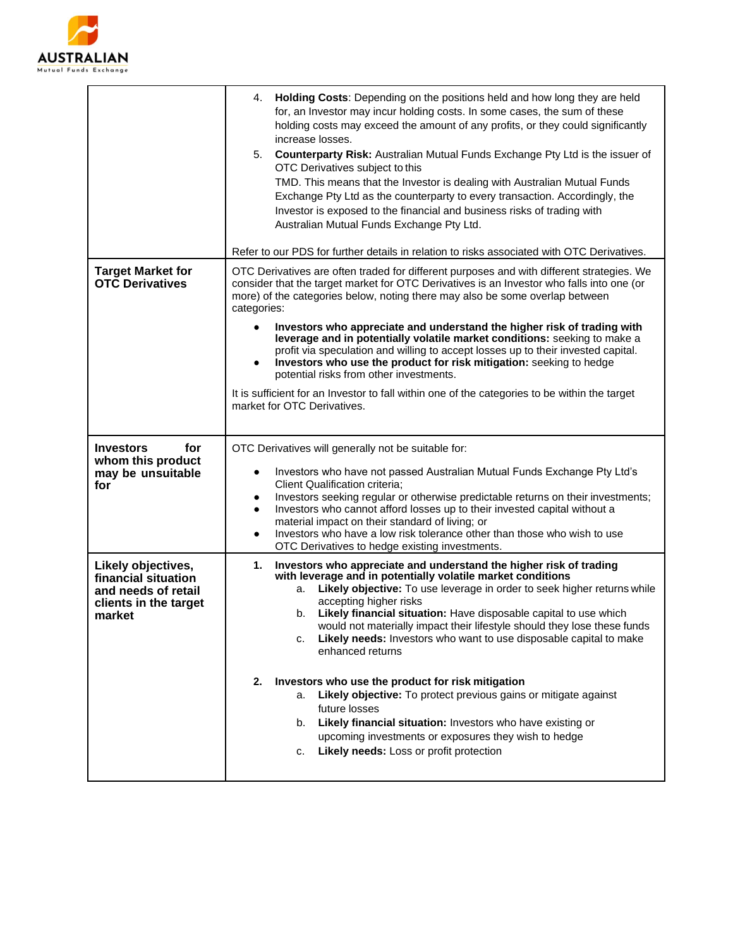

| 4.<br>Holding Costs: Depending on the positions held and how long they are held<br>for, an Investor may incur holding costs. In some cases, the sum of these<br>holding costs may exceed the amount of any profits, or they could significantly<br>increase losses.<br>5.<br><b>Counterparty Risk:</b> Australian Mutual Funds Exchange Pty Ltd is the issuer of<br>OTC Derivatives subject to this<br>TMD. This means that the Investor is dealing with Australian Mutual Funds<br>Exchange Pty Ltd as the counterparty to every transaction. Accordingly, the<br>Investor is exposed to the financial and business risks of trading with<br>Australian Mutual Funds Exchange Pty Ltd.                                                                                                                                                 |  |  |
|-----------------------------------------------------------------------------------------------------------------------------------------------------------------------------------------------------------------------------------------------------------------------------------------------------------------------------------------------------------------------------------------------------------------------------------------------------------------------------------------------------------------------------------------------------------------------------------------------------------------------------------------------------------------------------------------------------------------------------------------------------------------------------------------------------------------------------------------|--|--|
| Refer to our PDS for further details in relation to risks associated with OTC Derivatives.                                                                                                                                                                                                                                                                                                                                                                                                                                                                                                                                                                                                                                                                                                                                              |  |  |
| OTC Derivatives are often traded for different purposes and with different strategies. We<br>consider that the target market for OTC Derivatives is an Investor who falls into one (or<br>more) of the categories below, noting there may also be some overlap between<br>categories:                                                                                                                                                                                                                                                                                                                                                                                                                                                                                                                                                   |  |  |
| Investors who appreciate and understand the higher risk of trading with<br>$\bullet$<br>leverage and in potentially volatile market conditions: seeking to make a<br>profit via speculation and willing to accept losses up to their invested capital.<br>Investors who use the product for risk mitigation: seeking to hedge<br>$\bullet$<br>potential risks from other investments.                                                                                                                                                                                                                                                                                                                                                                                                                                                   |  |  |
| It is sufficient for an Investor to fall within one of the categories to be within the target<br>market for OTC Derivatives.                                                                                                                                                                                                                                                                                                                                                                                                                                                                                                                                                                                                                                                                                                            |  |  |
| OTC Derivatives will generally not be suitable for:<br>Investors who have not passed Australian Mutual Funds Exchange Pty Ltd's<br>٠<br>Client Qualification criteria;<br>Investors seeking regular or otherwise predictable returns on their investments;<br>٠<br>Investors who cannot afford losses up to their invested capital without a<br>$\bullet$<br>material impact on their standard of living; or<br>Investors who have a low risk tolerance other than those who wish to use<br>$\bullet$<br>OTC Derivatives to hedge existing investments.                                                                                                                                                                                                                                                                                 |  |  |
| Investors who appreciate and understand the higher risk of trading<br>1.<br>with leverage and in potentially volatile market conditions<br>Likely objective: To use leverage in order to seek higher returns while<br>а.<br>accepting higher risks<br>b. Likely financial situation: Have disposable capital to use which<br>would not materially impact their lifestyle should they lose these funds<br>Likely needs: Investors who want to use disposable capital to make<br>c.<br>enhanced returns<br>Investors who use the product for risk mitigation<br>2.<br>Likely objective: To protect previous gains or mitigate against<br>a.<br>future losses<br>Likely financial situation: Investors who have existing or<br>b.<br>upcoming investments or exposures they wish to hedge<br>Likely needs: Loss or profit protection<br>c. |  |  |
|                                                                                                                                                                                                                                                                                                                                                                                                                                                                                                                                                                                                                                                                                                                                                                                                                                         |  |  |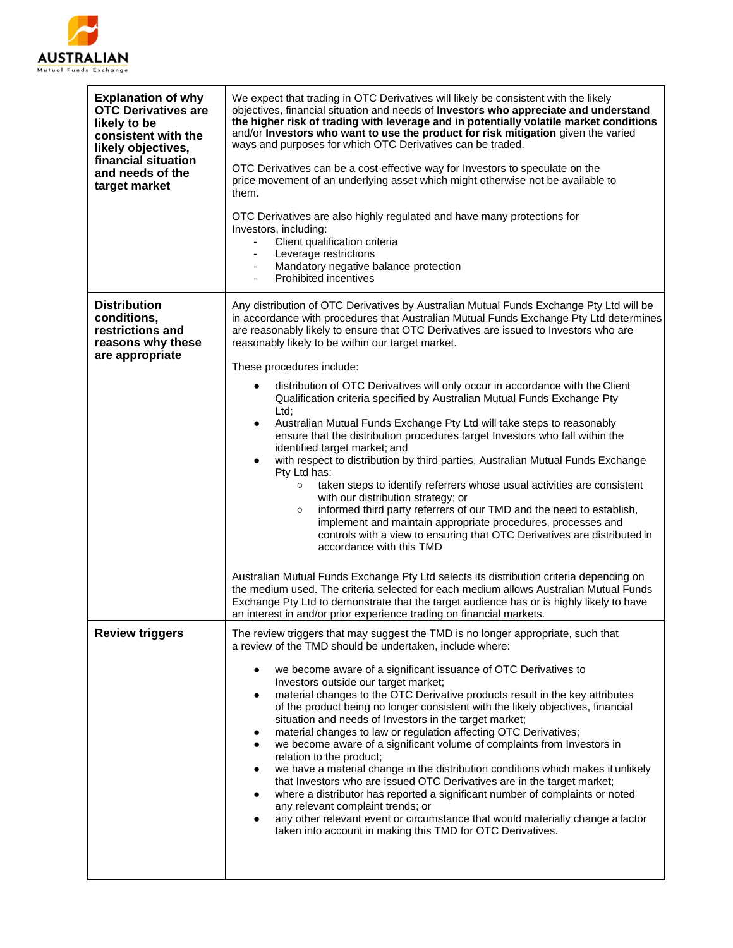

| <b>Explanation of why</b><br><b>OTC Derivatives are</b><br>likely to be<br>consistent with the<br>likely objectives,<br>financial situation<br>and needs of the<br>target market | We expect that trading in OTC Derivatives will likely be consistent with the likely<br>objectives, financial situation and needs of Investors who appreciate and understand<br>the higher risk of trading with leverage and in potentially volatile market conditions<br>and/or Investors who want to use the product for risk mitigation given the varied<br>ways and purposes for which OTC Derivatives can be traded.<br>OTC Derivatives can be a cost-effective way for Investors to speculate on the<br>price movement of an underlying asset which might otherwise not be available to<br>them.<br>OTC Derivatives are also highly regulated and have many protections for<br>Investors, including:<br>Client qualification criteria<br>Leverage restrictions<br>$\overline{\phantom{a}}$<br>Mandatory negative balance protection<br><b>Prohibited incentives</b>                                                                                                                                                                                                                                                                                                                                                           |
|----------------------------------------------------------------------------------------------------------------------------------------------------------------------------------|------------------------------------------------------------------------------------------------------------------------------------------------------------------------------------------------------------------------------------------------------------------------------------------------------------------------------------------------------------------------------------------------------------------------------------------------------------------------------------------------------------------------------------------------------------------------------------------------------------------------------------------------------------------------------------------------------------------------------------------------------------------------------------------------------------------------------------------------------------------------------------------------------------------------------------------------------------------------------------------------------------------------------------------------------------------------------------------------------------------------------------------------------------------------------------------------------------------------------------|
| <b>Distribution</b><br>conditions,<br>restrictions and<br>reasons why these<br>are appropriate                                                                                   | Any distribution of OTC Derivatives by Australian Mutual Funds Exchange Pty Ltd will be<br>in accordance with procedures that Australian Mutual Funds Exchange Pty Ltd determines<br>are reasonably likely to ensure that OTC Derivatives are issued to Investors who are<br>reasonably likely to be within our target market.<br>These procedures include:<br>distribution of OTC Derivatives will only occur in accordance with the Client<br>Qualification criteria specified by Australian Mutual Funds Exchange Pty<br>Ltd:<br>Australian Mutual Funds Exchange Pty Ltd will take steps to reasonably<br>$\bullet$<br>ensure that the distribution procedures target Investors who fall within the<br>identified target market; and<br>with respect to distribution by third parties, Australian Mutual Funds Exchange<br>Pty Ltd has:<br>taken steps to identify referrers whose usual activities are consistent<br>$\circ$<br>with our distribution strategy; or<br>informed third party referrers of our TMD and the need to establish,<br>$\circ$<br>implement and maintain appropriate procedures, processes and<br>controls with a view to ensuring that OTC Derivatives are distributed in<br>accordance with this TMD |
|                                                                                                                                                                                  | Australian Mutual Funds Exchange Pty Ltd selects its distribution criteria depending on<br>the medium used. The criteria selected for each medium allows Australian Mutual Funds<br>Exchange Pty Ltd to demonstrate that the target audience has or is highly likely to have<br>an interest in and/or prior experience trading on financial markets.                                                                                                                                                                                                                                                                                                                                                                                                                                                                                                                                                                                                                                                                                                                                                                                                                                                                               |
| <b>Review triggers</b>                                                                                                                                                           | The review triggers that may suggest the TMD is no longer appropriate, such that<br>a review of the TMD should be undertaken, include where:<br>we become aware of a significant issuance of OTC Derivatives to<br>Investors outside our target market;<br>material changes to the OTC Derivative products result in the key attributes<br>٠<br>of the product being no longer consistent with the likely objectives, financial<br>situation and needs of Investors in the target market;<br>material changes to law or regulation affecting OTC Derivatives;<br>we become aware of a significant volume of complaints from Investors in<br>relation to the product;<br>we have a material change in the distribution conditions which makes it unlikely<br>that Investors who are issued OTC Derivatives are in the target market;<br>where a distributor has reported a significant number of complaints or noted<br>any relevant complaint trends; or<br>any other relevant event or circumstance that would materially change a factor<br>taken into account in making this TMD for OTC Derivatives.                                                                                                                           |